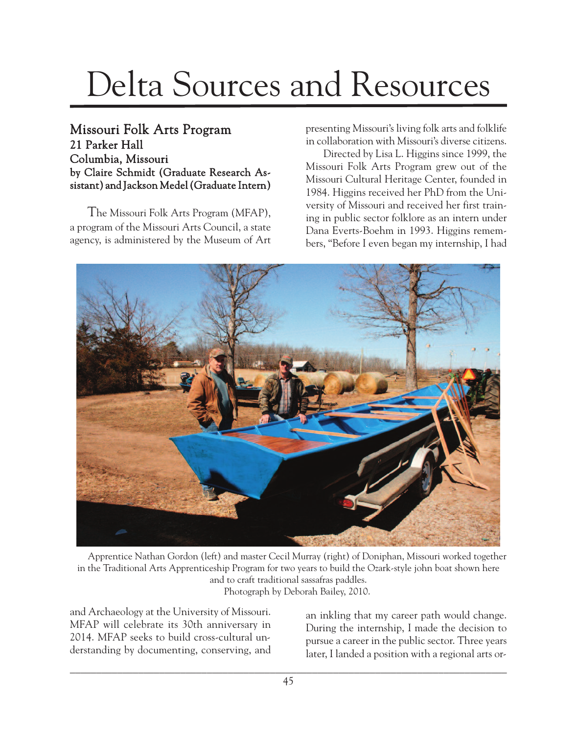## Delta Sources and Resources

## Missouri Folk Arts Program 21 Parker Hall Columbia, Missouri by Claire Schmidt (Graduate Research Assistant) and Jackson Medel(Graduate Intern)

The Missouri Folk Arts Program (MFAP), a program of the Missouri Arts Council, a state agency, is administered by the Museum of Art presenting Missouri's living folk arts and folklife in collaboration with Missouri's diverse citizens.

Directed by Lisa L. Higgins since 1999, the Missouri Folk Arts Program grew out of the Missouri Cultural Heritage Center, founded in 1984. Higgins received her PhD from the University of Missouri and received her first training in public sector folklore as an intern under Dana Everts-Boehm in 1993. Higgins remembers, "Before I even began my internship, I had



Apprentice Nathan Gordon (left) and master Cecil Murray (right) of Doniphan, Missouri worked together in the Traditional Arts Apprenticeship Program for two years to build the Ozark-style john boat shown here and to craft traditional sassafras paddles. Photograph by Deborah Bailey, 2010.

and Archaeology at the University of Missouri. MFAP will celebrate its 30th anniversary in 2014. MFAP seeks to build cross-cultural understanding by documenting, conserving, and

an inkling that my career path would change. During the internship, I made the decision to pursue a career in the public sector. Three years later, I landed a position with a regional arts or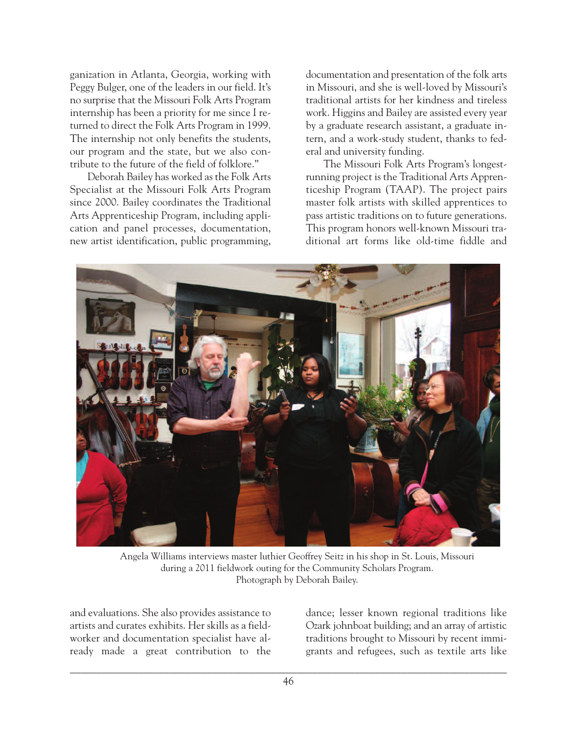ganization in Atlanta, Georgia, working with Peggy Bulger, one of the leaders in our field. It's no surprise that the Missouri Folk Arts Program internship has been a priority for me since I returned to direct the Folk Arts Program in 1999. The internship not only benefits the students, our program and the state, but we also contribute to the future of the field of folklore."

Deborah Bailey has worked as the Folk Arts Specialist at the Missouri Folk Arts Program since 2000. Bailey coordinates the Traditional Arts Apprenticeship Program, including application and panel processes, documentation, new artist identification, public programming, documentation and presentation of the folk arts in Missouri, and she is well-loved by Missouri's traditional artists for her kindness and tireless work. Higgins and Bailey are assisted every year by a graduate research assistant, a graduate intern, and a work-study student, thanks to federal and university funding.

The Missouri Folk Arts Program's longestrunning project is the Traditional Arts Apprenticeship Program (TAAP). The project pairs master folk artists with skilled apprentices to pass artistic traditions on to future generations. This program honors well-known Missouri traditional art forms like old-time fiddle and



Angela Williams interviews master luthier Geoffrey Seitz in his shop in St. Louis, Missouri during a 2011 fieldwork outing for the Community Scholars Program. Photograph by Deborah Bailey.

and evaluations. She also provides assistance to artists and curates exhibits. Her skills as a fieldworker and documentation specialist have already made a great contribution to the dance; lesser known regional traditions like Ozark johnboat building; and an array of artistic traditions brought to Missouri by recent immigrants and refugees, such as textile arts like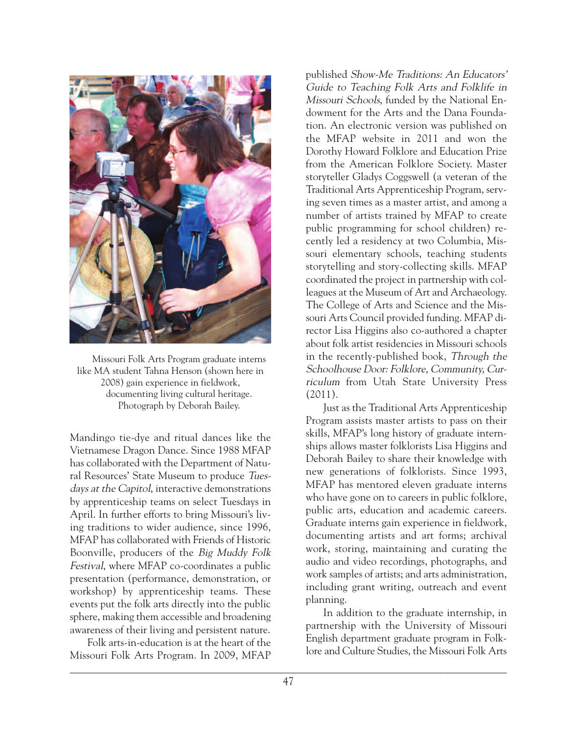

Missouri Folk Arts Program graduate interns like MA student Tahna Henson (shown here in 2008) gain experience in fieldwork, documenting living cultural heritage. Photograph by Deborah Bailey.

Mandingo tie-dye and ritual dances like the Vietnamese Dragon Dance. Since 1988 MFAP has collaborated with the Department of Natural Resources' State Museum to produce Tuesdays at the Capitol, interactive demonstrations by apprenticeship teams on select Tuesdays in April. In further efforts to bring Missouri's living traditions to wider audience, since 1996, MFAP has collaborated with Friends of Historic Boonville, producers of the Big Muddy Folk Festival, where MFAP co-coordinates a public presentation (performance, demonstration, or workshop) by apprenticeship teams. These events put the folk arts directly into the public sphere, making them accessible and broadening awareness of their living and persistent nature.

Folk arts-in-education is at the heart of the Missouri Folk Arts Program. In 2009, MFAP published Show-Me Traditions: An Educators' Guide to Teaching Folk Arts and Folklife in Missouri Schools, funded by the National Endowment for the Arts and the Dana Foundation. An electronic version was published on the MFAP website in 2011 and won the Dorothy Howard Folklore and Education Prize from the American Folklore Society. Master storyteller Gladys Coggswell (a veteran of the Traditional Arts Apprenticeship Program, serving seven times as a master artist, and among a number of artists trained by MFAP to create public programming for school children) recently led a residency at two Columbia, Missouri elementary schools, teaching students storytelling and story-collecting skills. MFAP coordinated the project in partnership with colleagues at the Museum of Art and Archaeology. The College of Arts and Science and the Missouri Arts Council provided funding. MFAP director Lisa Higgins also co-authored a chapter about folk artist residencies in Missouri schools in the recently-published book, Through the Schoolhouse Door: Folklore, Community, Curriculum from Utah State University Press (2011).

Just as the Traditional Arts Apprenticeship Program assists master artists to pass on their skills, MFAP's long history of graduate internships allows master folklorists Lisa Higgins and Deborah Bailey to share their knowledge with new generations of folklorists. Since 1993, MFAP has mentored eleven graduate interns who have gone on to careers in public folklore, public arts, education and academic careers. Graduate interns gain experience in fieldwork, documenting artists and art forms; archival work, storing, maintaining and curating the audio and video recordings, photographs, and work samples of artists; and arts administration, including grant writing, outreach and event planning.

In addition to the graduate internship, in partnership with the University of Missouri English department graduate program in Folklore and Culture Studies, the Missouri Folk Arts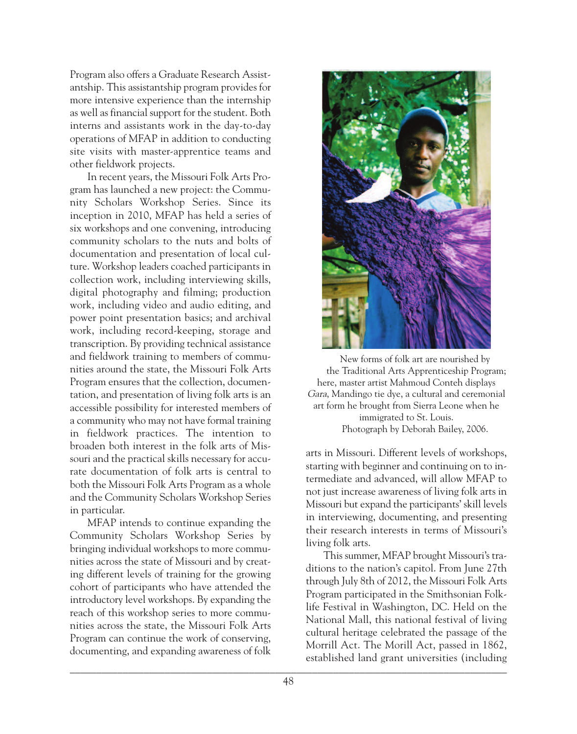Program also offers a Graduate Research Assistantship. This assistantship program provides for more intensive experience than the internship as well as financial support for the student. Both interns and assistants work in the day-to-day operations of MFAP in addition to conducting site visits with master-apprentice teams and other fieldwork projects.

In recent years, the Missouri Folk Arts Program has launched a new project: the Community Scholars Workshop Series. Since its inception in 2010, MFAP has held a series of six workshops and one convening, introducing community scholars to the nuts and bolts of documentation and presentation of local culture. Workshop leaders coached participants in collection work, including interviewing skills, digital photography and filming; production work, including video and audio editing, and power point presentation basics; and archival work, including record-keeping, storage and transcription. By providing technical assistance and fieldwork training to members of communities around the state, the Missouri Folk Arts Program ensures that the collection, documentation, and presentation of living folk arts is an accessible possibility for interested members of a community who may not have formal training in fieldwork practices. The intention to broaden both interest in the folk arts of Missouri and the practical skills necessary for accurate documentation of folk arts is central to both the Missouri Folk Arts Program as a whole and the Community Scholars Workshop Series in particular.

MFAP intends to continue expanding the Community Scholars Workshop Series by bringing individual workshops to more communities across the state of Missouri and by creating different levels of training for the growing cohort of participants who have attended the introductory level workshops. By expanding the reach of this workshop series to more communities across the state, the Missouri Folk Arts Program can continue the work of conserving, documenting, and expanding awareness of folk



New forms of folk art are nourished by the Traditional Arts Apprenticeship Program; here, master artist Mahmoud Conteh displays Gara, Mandingo tie dye, a cultural and ceremonial art form he brought from Sierra Leone when he immigrated to St. Louis. Photograph by Deborah Bailey, 2006.

arts in Missouri. Different levels of workshops, starting with beginner and continuing on to intermediate and advanced, will allow MFAP to not just increase awareness of living folk arts in Missouri but expand the participants' skill levels in interviewing, documenting, and presenting their research interests in terms of Missouri's living folk arts.

This summer, MFAP brought Missouri's traditions to the nation's capitol. From June 27th through July 8th of 2012, the Missouri Folk Arts Program participated in the Smithsonian Folklife Festival in Washington, DC. Held on the National Mall, this national festival of living cultural heritage celebrated the passage of the Morrill Act. The Morill Act, passed in 1862, established land grant universities (including